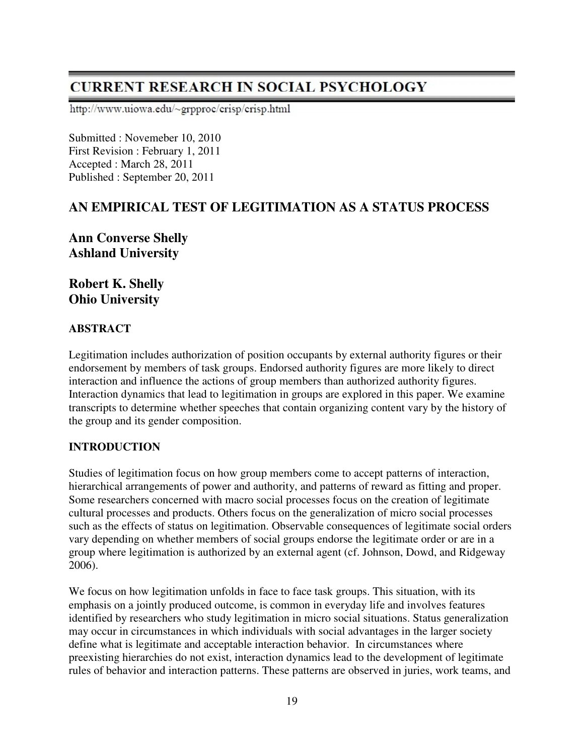# **CURRENT RESEARCH IN SOCIAL PSYCHOLOGY**

http://www.uiowa.edu/~grpproc/crisp/crisp.html

Submitted : Novemeber 10, 2010 First Revision : February 1, 2011 Accepted : March 28, 2011 Published : September 20, 2011

## **AN EMPIRICAL TEST OF LEGITIMATION AS A STATUS PROCESS**

**Ann Converse Shelly Ashland University** 

**Robert K. Shelly Ohio University** 

#### **ABSTRACT**

Legitimation includes authorization of position occupants by external authority figures or their endorsement by members of task groups. Endorsed authority figures are more likely to direct interaction and influence the actions of group members than authorized authority figures. Interaction dynamics that lead to legitimation in groups are explored in this paper. We examine transcripts to determine whether speeches that contain organizing content vary by the history of the group and its gender composition.

#### **INTRODUCTION**

Studies of legitimation focus on how group members come to accept patterns of interaction, hierarchical arrangements of power and authority, and patterns of reward as fitting and proper. Some researchers concerned with macro social processes focus on the creation of legitimate cultural processes and products. Others focus on the generalization of micro social processes such as the effects of status on legitimation. Observable consequences of legitimate social orders vary depending on whether members of social groups endorse the legitimate order or are in a group where legitimation is authorized by an external agent (cf. Johnson, Dowd, and Ridgeway 2006).

We focus on how legitimation unfolds in face to face task groups. This situation, with its emphasis on a jointly produced outcome, is common in everyday life and involves features identified by researchers who study legitimation in micro social situations. Status generalization may occur in circumstances in which individuals with social advantages in the larger society define what is legitimate and acceptable interaction behavior. In circumstances where preexisting hierarchies do not exist, interaction dynamics lead to the development of legitimate rules of behavior and interaction patterns. These patterns are observed in juries, work teams, and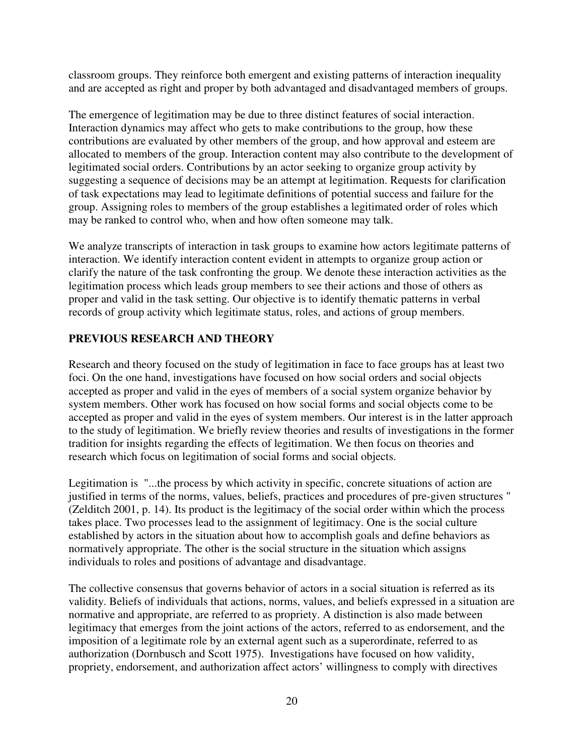classroom groups. They reinforce both emergent and existing patterns of interaction inequality and are accepted as right and proper by both advantaged and disadvantaged members of groups.

The emergence of legitimation may be due to three distinct features of social interaction. Interaction dynamics may affect who gets to make contributions to the group, how these contributions are evaluated by other members of the group, and how approval and esteem are allocated to members of the group. Interaction content may also contribute to the development of legitimated social orders. Contributions by an actor seeking to organize group activity by suggesting a sequence of decisions may be an attempt at legitimation. Requests for clarification of task expectations may lead to legitimate definitions of potential success and failure for the group. Assigning roles to members of the group establishes a legitimated order of roles which may be ranked to control who, when and how often someone may talk.

We analyze transcripts of interaction in task groups to examine how actors legitimate patterns of interaction. We identify interaction content evident in attempts to organize group action or clarify the nature of the task confronting the group. We denote these interaction activities as the legitimation process which leads group members to see their actions and those of others as proper and valid in the task setting. Our objective is to identify thematic patterns in verbal records of group activity which legitimate status, roles, and actions of group members.

## **PREVIOUS RESEARCH AND THEORY**

Research and theory focused on the study of legitimation in face to face groups has at least two foci. On the one hand, investigations have focused on how social orders and social objects accepted as proper and valid in the eyes of members of a social system organize behavior by system members. Other work has focused on how social forms and social objects come to be accepted as proper and valid in the eyes of system members. Our interest is in the latter approach to the study of legitimation. We briefly review theories and results of investigations in the former tradition for insights regarding the effects of legitimation. We then focus on theories and research which focus on legitimation of social forms and social objects.

Legitimation is "...the process by which activity in specific, concrete situations of action are justified in terms of the norms, values, beliefs, practices and procedures of pre-given structures " (Zelditch 2001, p. 14). Its product is the legitimacy of the social order within which the process takes place. Two processes lead to the assignment of legitimacy. One is the social culture established by actors in the situation about how to accomplish goals and define behaviors as normatively appropriate. The other is the social structure in the situation which assigns individuals to roles and positions of advantage and disadvantage.

The collective consensus that governs behavior of actors in a social situation is referred as its validity. Beliefs of individuals that actions, norms, values, and beliefs expressed in a situation are normative and appropriate, are referred to as propriety. A distinction is also made between legitimacy that emerges from the joint actions of the actors, referred to as endorsement, and the imposition of a legitimate role by an external agent such as a superordinate, referred to as authorization (Dornbusch and Scott 1975). Investigations have focused on how validity, propriety, endorsement, and authorization affect actors' willingness to comply with directives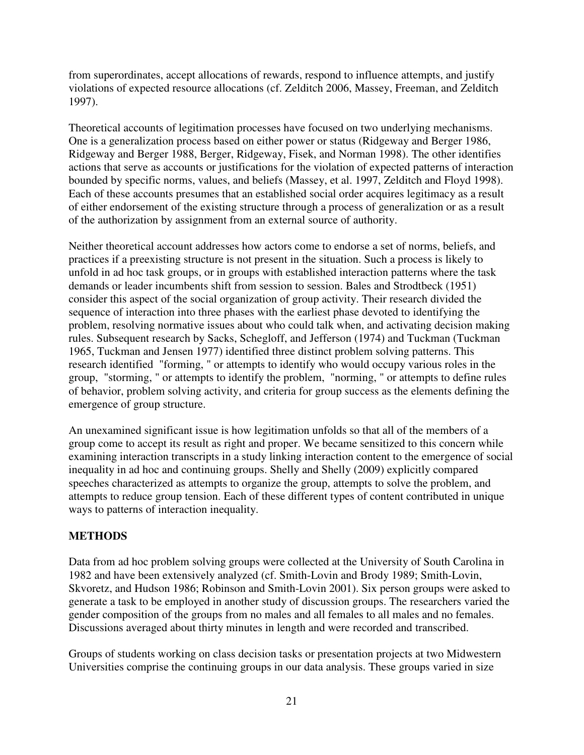from superordinates, accept allocations of rewards, respond to influence attempts, and justify violations of expected resource allocations (cf. Zelditch 2006, Massey, Freeman, and Zelditch 1997).

Theoretical accounts of legitimation processes have focused on two underlying mechanisms. One is a generalization process based on either power or status (Ridgeway and Berger 1986, Ridgeway and Berger 1988, Berger, Ridgeway, Fisek, and Norman 1998). The other identifies actions that serve as accounts or justifications for the violation of expected patterns of interaction bounded by specific norms, values, and beliefs (Massey, et al. 1997, Zelditch and Floyd 1998). Each of these accounts presumes that an established social order acquires legitimacy as a result of either endorsement of the existing structure through a process of generalization or as a result of the authorization by assignment from an external source of authority.

Neither theoretical account addresses how actors come to endorse a set of norms, beliefs, and practices if a preexisting structure is not present in the situation. Such a process is likely to unfold in ad hoc task groups, or in groups with established interaction patterns where the task demands or leader incumbents shift from session to session. Bales and Strodtbeck (1951) consider this aspect of the social organization of group activity. Their research divided the sequence of interaction into three phases with the earliest phase devoted to identifying the problem, resolving normative issues about who could talk when, and activating decision making rules. Subsequent research by Sacks, Schegloff, and Jefferson (1974) and Tuckman (Tuckman 1965, Tuckman and Jensen 1977) identified three distinct problem solving patterns. This research identified "forming, " or attempts to identify who would occupy various roles in the group, "storming, " or attempts to identify the problem, "norming, " or attempts to define rules of behavior, problem solving activity, and criteria for group success as the elements defining the emergence of group structure.

An unexamined significant issue is how legitimation unfolds so that all of the members of a group come to accept its result as right and proper. We became sensitized to this concern while examining interaction transcripts in a study linking interaction content to the emergence of social inequality in ad hoc and continuing groups. Shelly and Shelly (2009) explicitly compared speeches characterized as attempts to organize the group, attempts to solve the problem, and attempts to reduce group tension. Each of these different types of content contributed in unique ways to patterns of interaction inequality.

#### **METHODS**

Data from ad hoc problem solving groups were collected at the University of South Carolina in 1982 and have been extensively analyzed (cf. Smith-Lovin and Brody 1989; Smith-Lovin, Skvoretz, and Hudson 1986; Robinson and Smith-Lovin 2001). Six person groups were asked to generate a task to be employed in another study of discussion groups. The researchers varied the gender composition of the groups from no males and all females to all males and no females. Discussions averaged about thirty minutes in length and were recorded and transcribed.

Groups of students working on class decision tasks or presentation projects at two Midwestern Universities comprise the continuing groups in our data analysis. These groups varied in size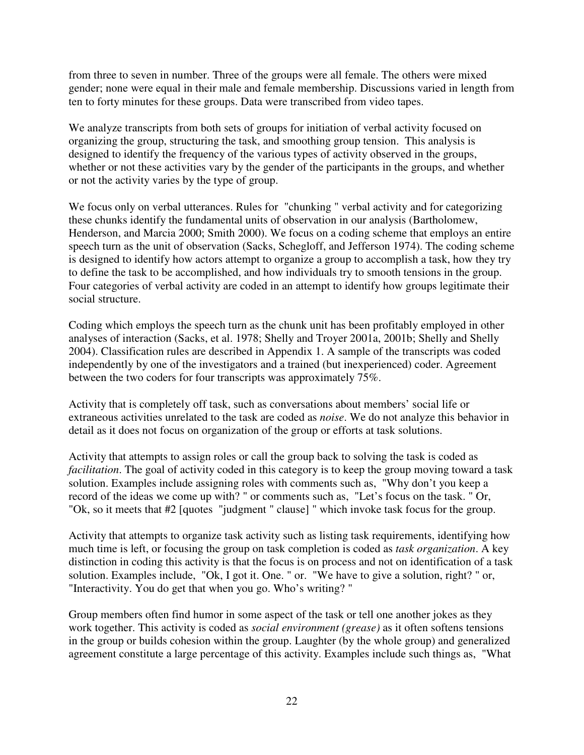from three to seven in number. Three of the groups were all female. The others were mixed gender; none were equal in their male and female membership. Discussions varied in length from ten to forty minutes for these groups. Data were transcribed from video tapes.

We analyze transcripts from both sets of groups for initiation of verbal activity focused on organizing the group, structuring the task, and smoothing group tension. This analysis is designed to identify the frequency of the various types of activity observed in the groups, whether or not these activities vary by the gender of the participants in the groups, and whether or not the activity varies by the type of group.

We focus only on verbal utterances. Rules for "chunking" verbal activity and for categorizing these chunks identify the fundamental units of observation in our analysis (Bartholomew, Henderson, and Marcia 2000; Smith 2000). We focus on a coding scheme that employs an entire speech turn as the unit of observation (Sacks, Schegloff, and Jefferson 1974). The coding scheme is designed to identify how actors attempt to organize a group to accomplish a task, how they try to define the task to be accomplished, and how individuals try to smooth tensions in the group. Four categories of verbal activity are coded in an attempt to identify how groups legitimate their social structure.

Coding which employs the speech turn as the chunk unit has been profitably employed in other analyses of interaction (Sacks, et al. 1978; Shelly and Troyer 2001a, 2001b; Shelly and Shelly 2004). Classification rules are described in Appendix 1. A sample of the transcripts was coded independently by one of the investigators and a trained (but inexperienced) coder. Agreement between the two coders for four transcripts was approximately 75%.

Activity that is completely off task, such as conversations about members' social life or extraneous activities unrelated to the task are coded as *noise*. We do not analyze this behavior in detail as it does not focus on organization of the group or efforts at task solutions.

Activity that attempts to assign roles or call the group back to solving the task is coded as *facilitation*. The goal of activity coded in this category is to keep the group moving toward a task solution. Examples include assigning roles with comments such as, "Why don't you keep a record of the ideas we come up with? " or comments such as, "Let's focus on the task. " Or, "Ok, so it meets that #2 [quotes "judgment " clause] " which invoke task focus for the group.

Activity that attempts to organize task activity such as listing task requirements, identifying how much time is left, or focusing the group on task completion is coded as *task organization*. A key distinction in coding this activity is that the focus is on process and not on identification of a task solution. Examples include, "Ok, I got it. One. " or. "We have to give a solution, right? " or, "Interactivity. You do get that when you go. Who's writing? "

Group members often find humor in some aspect of the task or tell one another jokes as they work together. This activity is coded as *social environment (grease)* as it often softens tensions in the group or builds cohesion within the group. Laughter (by the whole group) and generalized agreement constitute a large percentage of this activity. Examples include such things as, "What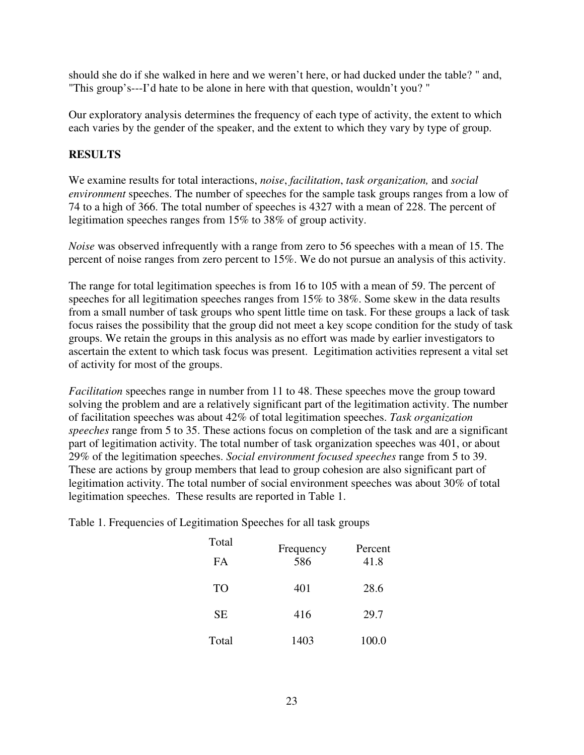should she do if she walked in here and we weren't here, or had ducked under the table? " and, "This group's---I'd hate to be alone in here with that question, wouldn't you? "

Our exploratory analysis determines the frequency of each type of activity, the extent to which each varies by the gender of the speaker, and the extent to which they vary by type of group.

### **RESULTS**

We examine results for total interactions, *noise*, *facilitation*, *task organization,* and *social environment* speeches. The number of speeches for the sample task groups ranges from a low of 74 to a high of 366. The total number of speeches is 4327 with a mean of 228. The percent of legitimation speeches ranges from 15% to 38% of group activity.

*Noise* was observed infrequently with a range from zero to 56 speeches with a mean of 15. The percent of noise ranges from zero percent to 15%. We do not pursue an analysis of this activity.

The range for total legitimation speeches is from 16 to 105 with a mean of 59. The percent of speeches for all legitimation speeches ranges from 15% to 38%. Some skew in the data results from a small number of task groups who spent little time on task. For these groups a lack of task focus raises the possibility that the group did not meet a key scope condition for the study of task groups. We retain the groups in this analysis as no effort was made by earlier investigators to ascertain the extent to which task focus was present. Legitimation activities represent a vital set of activity for most of the groups.

*Facilitation* speeches range in number from 11 to 48. These speeches move the group toward solving the problem and are a relatively significant part of the legitimation activity. The number of facilitation speeches was about 42% of total legitimation speeches. *Task organization speeches* range from 5 to 35. These actions focus on completion of the task and are a significant part of legitimation activity. The total number of task organization speeches was 401, or about 29% of the legitimation speeches. *Social environment focused speeches* range from 5 to 39. These are actions by group members that lead to group cohesion are also significant part of legitimation activity. The total number of social environment speeches was about 30% of total legitimation speeches. These results are reported in Table 1.

Table 1. Frequencies of Legitimation Speeches for all task groups

| Total<br><b>FA</b> | Frequency<br>586 | Percent<br>41.8 |  |
|--------------------|------------------|-----------------|--|
| <b>TO</b>          | 401              | 28.6            |  |
| <b>SE</b>          | 416              | 29.7            |  |
| Total              | 1403             | 100.0           |  |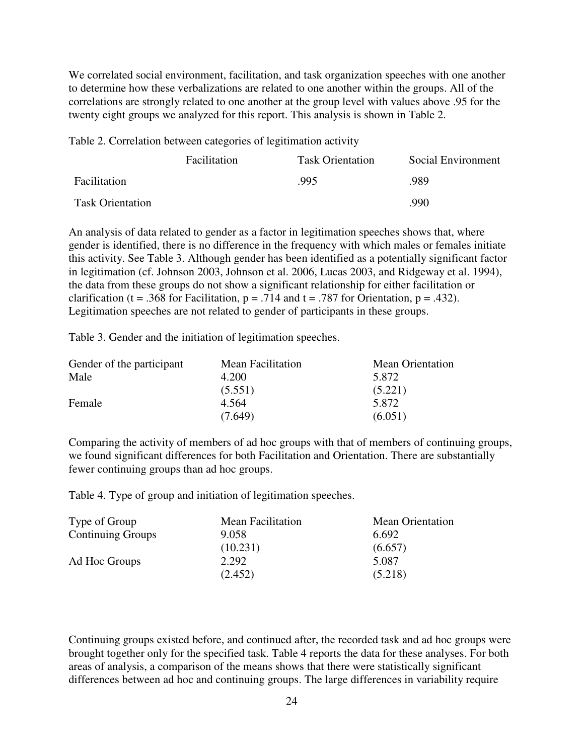We correlated social environment, facilitation, and task organization speeches with one another to determine how these verbalizations are related to one another within the groups. All of the correlations are strongly related to one another at the group level with values above .95 for the twenty eight groups we analyzed for this report. This analysis is shown in Table 2.

Table 2. Correlation between categories of legitimation activity

|                         | Facilitation | <b>Task Orientation</b> | Social Environment |
|-------------------------|--------------|-------------------------|--------------------|
| Facilitation            |              | .995                    | .989               |
| <b>Task Orientation</b> |              |                         | .990               |

An analysis of data related to gender as a factor in legitimation speeches shows that, where gender is identified, there is no difference in the frequency with which males or females initiate this activity. See Table 3. Although gender has been identified as a potentially significant factor in legitimation (cf. Johnson 2003, Johnson et al. 2006, Lucas 2003, and Ridgeway et al. 1994), the data from these groups do not show a significant relationship for either facilitation or clarification (t = .368 for Facilitation,  $p = .714$  and t = .787 for Orientation,  $p = .432$ ). Legitimation speeches are not related to gender of participants in these groups.

Table 3. Gender and the initiation of legitimation speeches.

| Gender of the participant | <b>Mean Facilitation</b> | <b>Mean Orientation</b> |
|---------------------------|--------------------------|-------------------------|
| Male                      | 4.200                    | 5.872                   |
|                           | (5.551)                  | (5.221)                 |
| Female                    | 4.564                    | 5.872                   |
|                           | (7.649)                  | (6.051)                 |

Comparing the activity of members of ad hoc groups with that of members of continuing groups, we found significant differences for both Facilitation and Orientation. There are substantially fewer continuing groups than ad hoc groups.

Table 4. Type of group and initiation of legitimation speeches.

| Type of Group            | <b>Mean Facilitation</b> | <b>Mean Orientation</b> |
|--------------------------|--------------------------|-------------------------|
| <b>Continuing Groups</b> | 9.058                    | 6.692                   |
|                          | (10.231)                 | (6.657)                 |
| Ad Hoc Groups            | 2.292                    | 5.087                   |
|                          | (2.452)                  | (5.218)                 |

Continuing groups existed before, and continued after, the recorded task and ad hoc groups were brought together only for the specified task. Table 4 reports the data for these analyses. For both areas of analysis, a comparison of the means shows that there were statistically significant differences between ad hoc and continuing groups. The large differences in variability require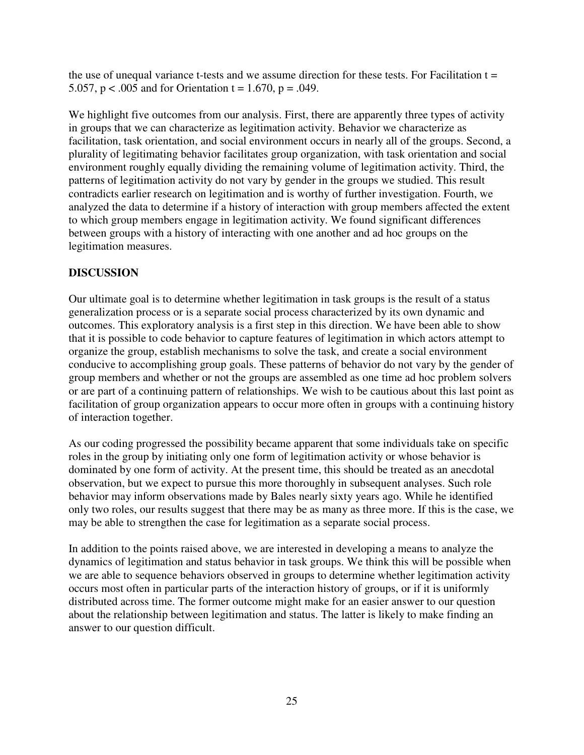the use of unequal variance t-tests and we assume direction for these tests. For Facilitation  $t =$ 5.057,  $p < .005$  and for Orientation t = 1.670,  $p = .049$ .

We highlight five outcomes from our analysis. First, there are apparently three types of activity in groups that we can characterize as legitimation activity. Behavior we characterize as facilitation, task orientation, and social environment occurs in nearly all of the groups. Second, a plurality of legitimating behavior facilitates group organization, with task orientation and social environment roughly equally dividing the remaining volume of legitimation activity. Third, the patterns of legitimation activity do not vary by gender in the groups we studied. This result contradicts earlier research on legitimation and is worthy of further investigation. Fourth, we analyzed the data to determine if a history of interaction with group members affected the extent to which group members engage in legitimation activity. We found significant differences between groups with a history of interacting with one another and ad hoc groups on the legitimation measures.

## **DISCUSSION**

Our ultimate goal is to determine whether legitimation in task groups is the result of a status generalization process or is a separate social process characterized by its own dynamic and outcomes. This exploratory analysis is a first step in this direction. We have been able to show that it is possible to code behavior to capture features of legitimation in which actors attempt to organize the group, establish mechanisms to solve the task, and create a social environment conducive to accomplishing group goals. These patterns of behavior do not vary by the gender of group members and whether or not the groups are assembled as one time ad hoc problem solvers or are part of a continuing pattern of relationships. We wish to be cautious about this last point as facilitation of group organization appears to occur more often in groups with a continuing history of interaction together.

As our coding progressed the possibility became apparent that some individuals take on specific roles in the group by initiating only one form of legitimation activity or whose behavior is dominated by one form of activity. At the present time, this should be treated as an anecdotal observation, but we expect to pursue this more thoroughly in subsequent analyses. Such role behavior may inform observations made by Bales nearly sixty years ago. While he identified only two roles, our results suggest that there may be as many as three more. If this is the case, we may be able to strengthen the case for legitimation as a separate social process.

In addition to the points raised above, we are interested in developing a means to analyze the dynamics of legitimation and status behavior in task groups. We think this will be possible when we are able to sequence behaviors observed in groups to determine whether legitimation activity occurs most often in particular parts of the interaction history of groups, or if it is uniformly distributed across time. The former outcome might make for an easier answer to our question about the relationship between legitimation and status. The latter is likely to make finding an answer to our question difficult.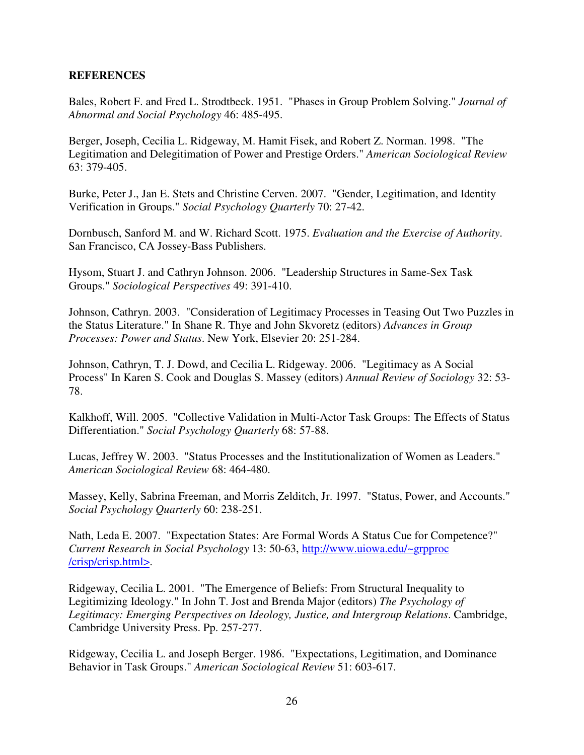#### **REFERENCES**

Bales, Robert F. and Fred L. Strodtbeck. 1951. "Phases in Group Problem Solving." *Journal of Abnormal and Social Psychology* 46: 485-495.

Berger, Joseph, Cecilia L. Ridgeway, M. Hamit Fisek, and Robert Z. Norman. 1998. "The Legitimation and Delegitimation of Power and Prestige Orders." *American Sociological Review* 63: 379-405.

Burke, Peter J., Jan E. Stets and Christine Cerven. 2007. "Gender, Legitimation, and Identity Verification in Groups." *Social Psychology Quarterly* 70: 27-42.

Dornbusch, Sanford M. and W. Richard Scott. 1975. *Evaluation and the Exercise of Authority*. San Francisco, CA Jossey-Bass Publishers.

Hysom, Stuart J. and Cathryn Johnson. 2006. "Leadership Structures in Same-Sex Task Groups." *Sociological Perspectives* 49: 391-410.

Johnson, Cathryn. 2003. "Consideration of Legitimacy Processes in Teasing Out Two Puzzles in the Status Literature." In Shane R. Thye and John Skvoretz (editors) *Advances in Group Processes: Power and Status*. New York, Elsevier 20: 251-284.

Johnson, Cathryn, T. J. Dowd, and Cecilia L. Ridgeway. 2006. "Legitimacy as A Social Process" In Karen S. Cook and Douglas S. Massey (editors) *Annual Review of Sociology* 32: 53- 78.

Kalkhoff, Will. 2005. "Collective Validation in Multi-Actor Task Groups: The Effects of Status Differentiation." *Social Psychology Quarterly* 68: 57-88.

Lucas, Jeffrey W. 2003. "Status Processes and the Institutionalization of Women as Leaders." *American Sociological Review* 68: 464-480.

Massey, Kelly, Sabrina Freeman, and Morris Zelditch, Jr. 1997. "Status, Power, and Accounts." *Social Psychology Quarterly* 60: 238-251.

Nath, Leda E. 2007. "Expectation States: Are Formal Words A Status Cue for Competence?" *Current Research in Social Psychology* 13: 50-63, http://www.uiowa.edu/~grpproc /crisp/crisp.html>.

Ridgeway, Cecilia L. 2001. "The Emergence of Beliefs: From Structural Inequality to Legitimizing Ideology." In John T. Jost and Brenda Major (editors) *The Psychology of Legitimacy: Emerging Perspectives on Ideology, Justice, and Intergroup Relations*. Cambridge, Cambridge University Press. Pp. 257-277.

Ridgeway, Cecilia L. and Joseph Berger. 1986. "Expectations, Legitimation, and Dominance Behavior in Task Groups." *American Sociological Review* 51: 603-617.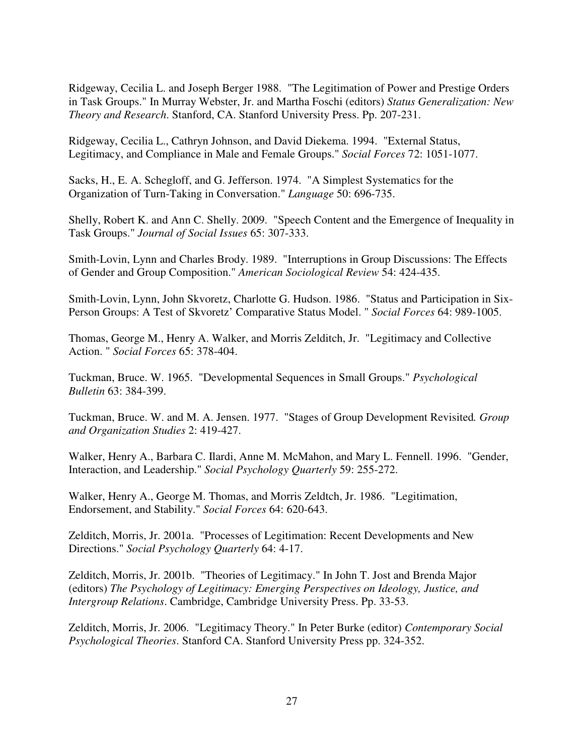Ridgeway, Cecilia L. and Joseph Berger 1988. "The Legitimation of Power and Prestige Orders in Task Groups." In Murray Webster, Jr. and Martha Foschi (editors) *Status Generalization: New Theory and Research*. Stanford, CA. Stanford University Press. Pp. 207-231.

Ridgeway, Cecilia L., Cathryn Johnson, and David Diekema. 1994. "External Status, Legitimacy, and Compliance in Male and Female Groups." *Social Forces* 72: 1051-1077.

Sacks, H., E. A. Schegloff, and G. Jefferson. 1974. "A Simplest Systematics for the Organization of Turn-Taking in Conversation." *Language* 50: 696-735.

Shelly, Robert K. and Ann C. Shelly. 2009. "Speech Content and the Emergence of Inequality in Task Groups." *Journal of Social Issues* 65: 307-333.

Smith-Lovin, Lynn and Charles Brody. 1989. "Interruptions in Group Discussions: The Effects of Gender and Group Composition." *American Sociological Review* 54: 424-435.

Smith-Lovin, Lynn, John Skvoretz, Charlotte G. Hudson. 1986. "Status and Participation in Six-Person Groups: A Test of Skvoretz' Comparative Status Model. " *Social Forces* 64: 989-1005.

Thomas, George M., Henry A. Walker, and Morris Zelditch, Jr. "Legitimacy and Collective Action. " *Social Forces* 65: 378-404.

Tuckman, Bruce. W. 1965. "Developmental Sequences in Small Groups." *Psychological Bulletin* 63: 384-399.

Tuckman, Bruce. W. and M. A. Jensen. 1977. "Stages of Group Development Revisited*. Group and Organization Studies* 2: 419-427.

Walker, Henry A., Barbara C. Ilardi, Anne M. McMahon, and Mary L. Fennell. 1996. "Gender, Interaction, and Leadership." *Social Psychology Quarterly* 59: 255-272.

Walker, Henry A., George M. Thomas, and Morris Zeldtch, Jr. 1986. "Legitimation, Endorsement, and Stability." *Social Forces* 64: 620-643.

Zelditch, Morris, Jr. 2001a. "Processes of Legitimation: Recent Developments and New Directions." *Social Psychology Quarterly* 64: 4-17.

Zelditch, Morris, Jr. 2001b. "Theories of Legitimacy." In John T. Jost and Brenda Major (editors) *The Psychology of Legitimacy: Emerging Perspectives on Ideology, Justice, and Intergroup Relations*. Cambridge, Cambridge University Press. Pp. 33-53.

Zelditch, Morris, Jr. 2006. "Legitimacy Theory." In Peter Burke (editor) *Contemporary Social Psychological Theories*. Stanford CA. Stanford University Press pp. 324-352.